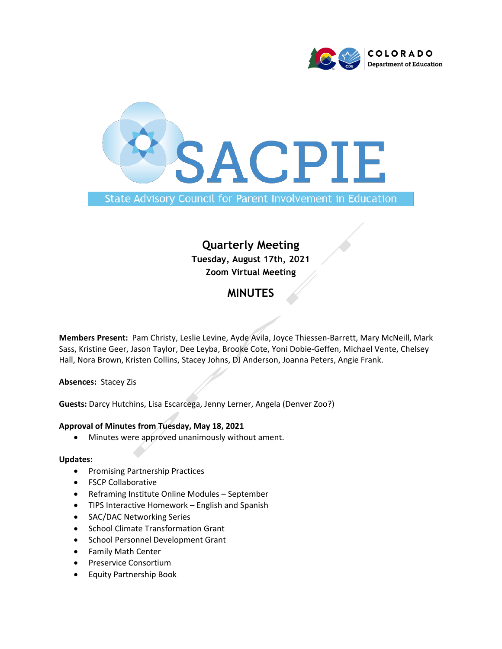



## **Quarterly Meeting Tuesday, August 17th, 2021 Zoom Virtual Meeting**

### **MINUTES**

**Members Present:** Pam Christy, Leslie Levine, Ayde Avila, Joyce Thiessen-Barrett, Mary McNeill, Mark Sass, Kristine Geer, Jason Taylor, Dee Leyba, Brooke Cote, Yoni Dobie-Geffen, Michael Vente, Chelsey Hall, Nora Brown, Kristen Collins, Stacey Johns, DJ Anderson, Joanna Peters, Angie Frank.

**Absences:** Stacey Zis

**Guests:** Darcy Hutchins, Lisa Escarcega, Jenny Lerner, Angela (Denver Zoo?)

#### **Approval of Minutes from Tuesday, May 18, 2021**

• Minutes were approved unanimously without ament.

#### **Updates:**

- Promising Partnership Practices
- FSCP Collaborative
- Reframing Institute Online Modules September
- TIPS Interactive Homework English and Spanish
- SAC/DAC Networking Series
- School Climate Transformation Grant
- School Personnel Development Grant
- Family Math Center
- Preservice Consortium
- Equity Partnership Book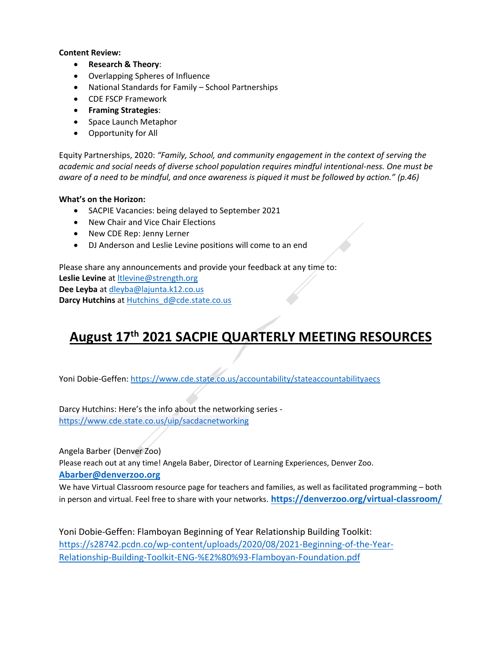#### **Content Review:**

- **Research & Theory**:
- Overlapping Spheres of Influence
- National Standards for Family School Partnerships
- CDE FSCP Framework
- **Framing Strategies**:
- Space Launch Metaphor
- Opportunity for All

Equity Partnerships, 2020: *"Family, School, and community engagement in the context of serving the academic and social needs of diverse school population requires mindful intentional-ness. One must be aware of a need to be mindful, and once awareness is piqued it must be followed by action." (p.46)*

#### **What's on the Horizon:**

- SACPIE Vacancies: being delayed to September 2021
- New Chair and Vice Chair Elections
- New CDE Rep: Jenny Lerner
- DJ Anderson and Leslie Levine positions will come to an end

Please share any announcements and provide your feedback at any time to: **Leslie Levine** at [ltlevine@strength.org](mailto:ltlevine@strength.org) **Dee Leyba** at [dleyba@lajunta.k12.co.us](mailto:dleyba@lajunta.k12.co.us) **Darcy Hutchins** at Hutchins d@cde.state.co.us

# **August 17 th 2021 SACPIE QUARTERLY MEETING RESOURCES**

Yoni Dobie-Geffen:<https://www.cde.state.co.us/accountability/stateaccountabilityaecs>

Darcy Hutchins: Here's the info about the networking series <https://www.cde.state.co.us/uip/sacdacnetworking>

Angela Barber (Denver Zoo)

Please reach out at any time! Angela Baber, Director of Learning Experiences, Denver Zoo.

#### **[Abarber@denverzoo.org](mailto:Abarber@denverzoo.org)**

We have Virtual Classroom resource page for teachers and families, as well as facilitated programming – both in person and virtual. Feel free to share with your networks. **<https://denverzoo.org/virtual-classroom/>**

Yoni Dobie-Geffen: Flamboyan Beginning of Year Relationship Building Toolkit: [https://s28742.pcdn.co/wp-content/uploads/2020/08/2021-Beginning-of-the-Year-](https://s28742.pcdn.co/wp-content/uploads/2020/08/2021-Beginning-of-the-Year-Relationship-Building-Toolkit-ENG-%E2%80%93-Flamboyan-Foundation.pdf)[Relationship-Building-Toolkit-ENG-%E2%80%93-Flamboyan-Foundation.pdf](https://s28742.pcdn.co/wp-content/uploads/2020/08/2021-Beginning-of-the-Year-Relationship-Building-Toolkit-ENG-%E2%80%93-Flamboyan-Foundation.pdf)